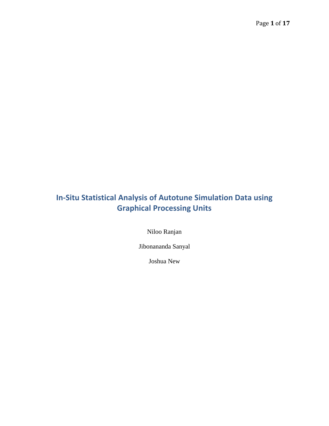# **In-Situ Statistical Analysis of Autotune Simulation Data using Graphical Processing Units**

Niloo Ranjan

Jibonananda Sanyal

Joshua New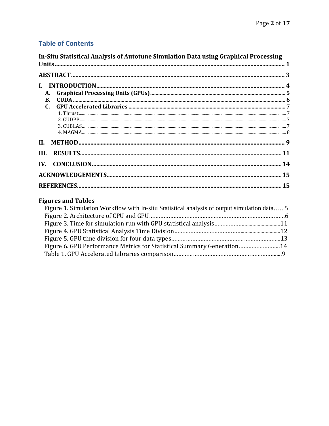# **Table of Contents**

| In-Situ Statistical Analysis of Autotune Simulation Data using Graphical Processing |  |
|-------------------------------------------------------------------------------------|--|
|                                                                                     |  |
| А.                                                                                  |  |
| <b>B.</b>                                                                           |  |
|                                                                                     |  |
|                                                                                     |  |
| II.                                                                                 |  |
| III.                                                                                |  |
|                                                                                     |  |
|                                                                                     |  |
|                                                                                     |  |

# **Figures and Tables**

| Figure 1. Simulation Workflow with In-situ Statistical analysis of output simulation data 5 |  |
|---------------------------------------------------------------------------------------------|--|
|                                                                                             |  |
|                                                                                             |  |
|                                                                                             |  |
|                                                                                             |  |
| Figure 6. GPU Performance Metrics for Statistical Summary Generation14                      |  |
|                                                                                             |  |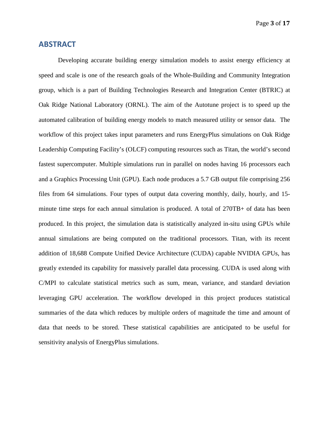Page **3** of **17**

### **ABSTRACT**

Developing accurate building energy simulation models to assist energy efficiency at speed and scale is one of the research goals of the Whole-Building and Community Integration group, which is a part of Building Technologies Research and Integration Center (BTRIC) at Oak Ridge National Laboratory (ORNL). The aim of the Autotune project is to speed up the automated calibration of building energy models to match measured utility or sensor data. The workflow of this project takes input parameters and runs EnergyPlus simulations on Oak Ridge Leadership Computing Facility's (OLCF) computing resources such as Titan, the world's second fastest supercomputer. Multiple simulations run in parallel on nodes having 16 processors each and a Graphics Processing Unit (GPU). Each node produces a 5.7 GB output file comprising 256 files from 64 simulations. Four types of output data covering monthly, daily, hourly, and 15 minute time steps for each annual simulation is produced. A total of 270TB+ of data has been produced. In this project, the simulation data is statistically analyzed in-situ using GPUs while annual simulations are being computed on the traditional processors. Titan, with its recent addition of 18,688 Compute Unified Device Architecture (CUDA) capable NVIDIA GPUs, has greatly extended its capability for massively parallel data processing. CUDA is used along with C/MPI to calculate statistical metrics such as sum, mean, variance, and standard deviation leveraging GPU acceleration. The workflow developed in this project produces statistical summaries of the data which reduces by multiple orders of magnitude the time and amount of data that needs to be stored. These statistical capabilities are anticipated to be useful for sensitivity analysis of EnergyPlus simulations.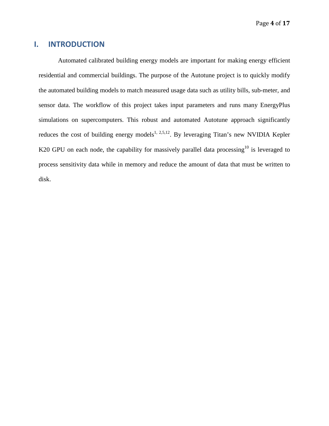## **I. INTRODUCTION**

Automated calibrated building energy models are important for making energy efficient residential and commercial buildings. The purpose of the Autotune project is to quickly modify the automated building models to match measured usage data such as utility bills, sub-meter, and sensor data. The workflow of this project takes input parameters and runs many EnergyPlus simulations on supercomputers. This robust and automated Autotune approach significantly reduces the cost of building energy models<sup>1, 2,5,12</sup>. By leveraging Titan's new NVIDIA Kepler K20 GPU on each node, the capability for massively parallel data processing<sup>10</sup> is leveraged to process sensitivity data while in memory and reduce the amount of data that must be written to disk.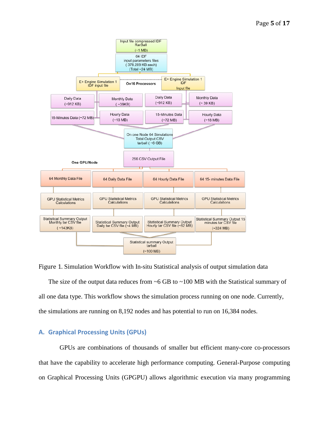

Figure 1. Simulation Workflow with In-situ Statistical analysis of output simulation data

The size of the output data reduces from  $~6$  GB to  $~100$  MB with the Statistical summary of all one data type. This workflow shows the simulation process running on one node. Currently, the simulations are running on 8,192 nodes and has potential to run on 16,384 nodes.

### **A. Graphical Processing Units (GPUs)**

GPUs are combinations of thousands of smaller but efficient many-core co-processors that have the capability to accelerate high performance computing. General-Purpose computing on Graphical Processing Units (GPGPU) allows algorithmic execution via many programming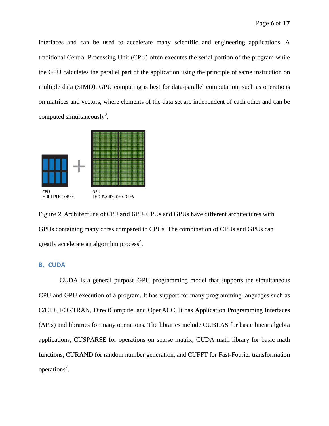interfaces and can be used to accelerate many scientific and engineering applications. A traditional Central Processing Unit (CPU) often executes the serial portion of the program while the GPU calculates the parallel part of the application using the principle of same instruction on multiple data (SIMD). GPU computing is best for data-parallel computation, such as operations on matrices and vectors, where elements of the data set are independent of each other and can be computed simultaneously<sup>9</sup>.



Figure 2. Architecture of CPU and GPU. CPUs and GPUs have different architectures with GPUs containing many cores compared to CPUs. The combination of CPUs and GPUs can greatly accelerate an algorithm process<sup>9</sup>.

### **B. CUDA**

CUDA is a general purpose GPU programming model that supports the simultaneous CPU and GPU execution of a program. It has support for many programming languages such as C/C++, FORTRAN, DirectCompute, and OpenACC. It has Application Programming Interfaces (APIs) and libraries for many operations. The libraries include CUBLAS for basic linear algebra applications, CUSPARSE for operations on sparse matrix, CUDA math library for basic math functions, CURAND for random number generation, and CUFFT for Fast-Fourier transformation operations<sup>7</sup>.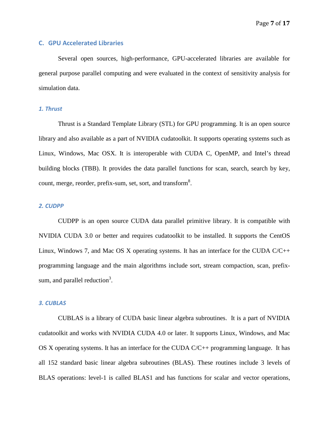#### **C. GPU Accelerated Libraries**

Several open sources, high-performance, GPU-accelerated libraries are available for general purpose parallel computing and were evaluated in the context of sensitivity analysis for simulation data.

#### *1. Thrust*

Thrust is a Standard Template Library (STL) for GPU programming. It is an open source library and also available as a part of NVIDIA cudatoolkit. It supports operating systems such as Linux, Windows, Mac OSX. It is interoperable with CUDA C, OpenMP, and Intel's thread building blocks (TBB). It provides the data parallel functions for scan, search, search by key, count, merge, reorder, prefix-sum, set, sort, and transform $8$ .

#### *2. CUDPP*

CUDPP is an open source CUDA data parallel primitive library. It is compatible with NVIDIA CUDA 3.0 or better and requires cudatoolkit to be installed. It supports the CentOS Linux, Windows 7, and Mac OS X operating systems. It has an interface for the CUDA C/C++ programming language and the main algorithms include sort, stream compaction, scan, prefixsum, and parallel reduction<sup>3</sup>.

#### *3. CUBLAS*

CUBLAS is a library of CUDA basic linear algebra subroutines. It is a part of NVIDIA cudatoolkit and works with NVIDIA CUDA 4.0 or later. It supports Linux, Windows, and Mac OS X operating systems. It has an interface for the CUDA  $C/C++$  programming language. It has all 152 standard basic linear algebra subroutines (BLAS). These routines include 3 levels of BLAS operations: level-1 is called BLAS1 and has functions for scalar and vector operations,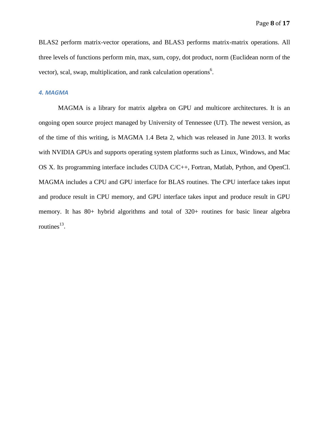BLAS2 perform matrix-vector operations, and BLAS3 performs matrix-matrix operations. All three levels of functions perform min, max, sum, copy, dot product, norm (Euclidean norm of the vector), scal, swap, multiplication, and rank calculation operations<sup>6</sup>.

#### *4. MAGMA*

MAGMA is a library for matrix algebra on GPU and multicore architectures. It is an ongoing open source project managed by University of Tennessee (UT). The newest version, as of the time of this writing, is MAGMA 1.4 Beta 2, which was released in June 2013. It works with NVIDIA GPUs and supports operating system platforms such as Linux, Windows, and Mac OS X. Its programming interface includes CUDA C/C++, Fortran, Matlab, Python, and OpenCl. MAGMA includes a CPU and GPU interface for BLAS routines. The CPU interface takes input and produce result in CPU memory, and GPU interface takes input and produce result in GPU memory. It has 80+ hybrid algorithms and total of 320+ routines for basic linear algebra routines $^{13}$ .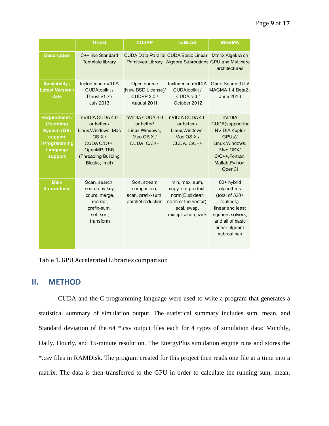|                                                                                                            | <b>Thrust</b>                                                                                                                         | <b>CUDPP</b>                                                                 | <b>cuBLAS</b>                                                                                                         | <b>MAGMA</b>                                                                                                                                          |
|------------------------------------------------------------------------------------------------------------|---------------------------------------------------------------------------------------------------------------------------------------|------------------------------------------------------------------------------|-----------------------------------------------------------------------------------------------------------------------|-------------------------------------------------------------------------------------------------------------------------------------------------------|
| <b>Description</b>                                                                                         | C++ like Standard<br>Template library                                                                                                 |                                                                              | <b>CUDA Data Parallel CUDA Basic Linear</b><br>Primitives Library Algebra Subroutines GPU and Multicore               | Matrix Algebra on<br>architectures                                                                                                                    |
| <b>Availability /</b><br><b>Latest Version /</b><br>date                                                   | Included in nVIDIA<br><b>CUDAtoolkit /</b><br>Thrust v1.7 /<br><b>July 2013</b>                                                       | Open source<br>(New BSD License)/<br><b>CUDPP 2.0/</b><br>August 2011        | Included in nVIDIA<br><b>CUDAtoolkit /</b><br><b>CUDA 5.0 /</b><br>October 2012                                       | Open Source(UT)/<br>MAGMA 1.4 Beta2 /<br>June 2013                                                                                                    |
| <b>Requirement /</b><br><b>Operating</b><br>System (OS)<br>support<br>/ Programming<br>Language<br>support | nVIDIA CUDA 4.0<br>or better /<br>Linux, Windows, Mac<br>OS X/<br>CUDA C/C++.<br>OpenMP, TBB<br>(Threading Building<br>Blocks, Intel) | nVIDIA CUDA 3.0<br>or better/<br>Linux, Windows,<br>Mac OS X/<br>CUDA, C/C++ | nVIDIA CUDA 4.0<br>or better /<br>Linux, Windows,<br>Mac OS X/<br>CUDA, C/C++                                         | nVIDIA<br><b>CUDA</b> (support for<br><b>NVIDIA Kepler</b><br>GPUs)/<br>Linux, Windows,<br>Mac OSX/<br>C/C++, Fortran,<br>Matlab, Python,<br>OpenCl   |
| <b>Main</b><br><b>Subroutines</b>                                                                          | Scan, search,<br>search by key,<br>count, merge,<br>reorder,<br>prefix-sum,<br>set, sort,<br>transform                                | Sort, stream<br>compaction,<br>scan, prefix-sum,<br>parallel reduction       | min, max, sum,<br>copy, dot product,<br>norm(Euclidean<br>norm of the vector),<br>scal, swap,<br>multiplication, rank | 80+ hybrid<br>algorithms<br>(total of 320+<br>routines),<br>linear and least<br>squares solvers,<br>and all of basic<br>linear algebra<br>subroutines |

Table 1. GPU Accelerated Libraries comparison

# **II. METHOD**

CUDA and the C programming language were used to write a program that generates a statistical summary of simulation output. The statistical summary includes sum, mean, and Standard deviation of the 64 \*.csv output files each for 4 types of simulation data: Monthly, Daily, Hourly, and 15-minute resolution. The EnergyPlus simulation engine runs and stores the \*.csv files in RAMDisk. The program created for this project then reads one file at a time into a matrix. The data is then transferred to the GPU in order to calculate the running sum, mean,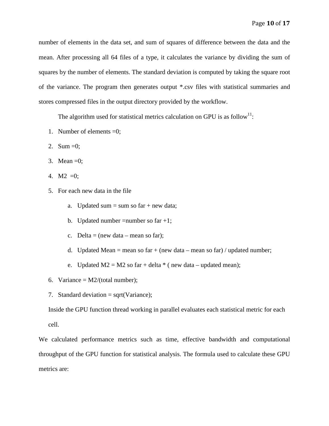number of elements in the data set, and sum of squares of difference between the data and the mean. After processing all 64 files of a type, it calculates the variance by dividing the sum of squares by the number of elements. The standard deviation is computed by taking the square root of the variance. The program then generates output \*.csv files with statistical summaries and stores compressed files in the output directory provided by the workflow.

The algorithm used for statistical metrics calculation on GPU is as follow<sup>11</sup>:

- 1. Number of elements =0;
- 2. Sum = 0;
- 3. Mean  $=0$ ;
- 4. M2 = 0;
- 5. For each new data in the file
	- a. Updated sum  $=$  sum so far  $+$  new data;
	- b. Updated number = number so far  $+1$ ;
	- c. Delta = (new data mean so far);
	- d. Updated Mean = mean so far + (new data mean so far) / updated number;
	- e. Updated  $M2 = M2$  so far + delta  $*$  (new data updated mean);
- 6. Variance =  $M2/(total number)$ ;
- 7. Standard deviation  $=$  sqrt(Variance);

Inside the GPU function thread working in parallel evaluates each statistical metric for each cell.

We calculated performance metrics such as time, effective bandwidth and computational throughput of the GPU function for statistical analysis. The formula used to calculate these GPU metrics are: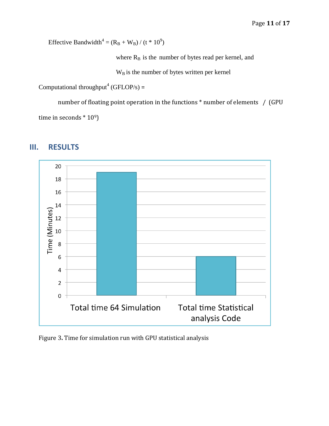Effective Bandwidth<sup>4</sup> =  $(R_B + W_B) / (t * 10^9)$ 

where  $R_B$  is the number of bytes read per kernel, and

 $W_B$  is the number of bytes written per kernel

Computational throughput<sup>4</sup> (GFLOP/s) =

number of floating point operation in the functions \* number of elements / (GPU time in seconds \* 10<sup>9</sup>)



# **III. RESULTS**

Figure 3**.** Time for simulation run with GPU statistical analysis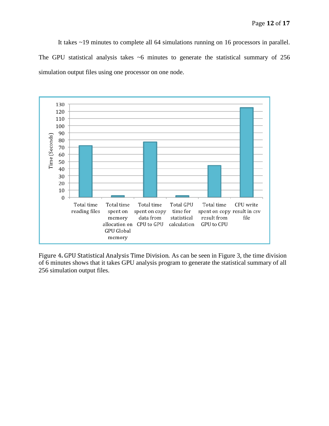It takes ~19 minutes to complete all 64 simulations running on 16 processors in parallel. The GPU statistical analysis takes  $~6$  minutes to generate the statistical summary of 256 simulation output files using one processor on one node.



Figure 4**.** GPU Statistical Analysis Time Division. As can be seen in Figure 3, the time division of 6 minutes shows that it takes GPU analysis program to generate the statistical summary of all 256 simulation output files.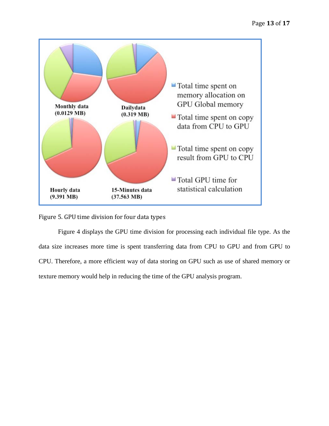

Figure 5. GPU time division for four data types

Figure 4 displays the GPU time division for processing each individual file type. As the data size increases more time is spent transferring data from CPU to GPU and from GPU to CPU. Therefore, a more efficient way of data storing on GPU such as use of shared memory or texture memory would help in reducing the time of the GPU analysis program.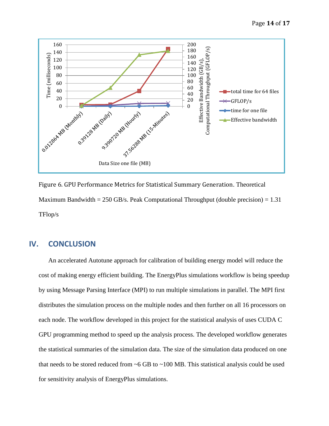

Figure 6. GPU Performance Metrics for Statistical Summary Generation. Theoretical Maximum Bandwidth = 250 GB/s. Peak Computational Throughput (double precision) =  $1.31$ TFlop/s

# **IV. CONCLUSION**

An accelerated Autotune approach for calibration of building energy model will reduce the cost of making energy efficient building. The EnergyPlus simulations workflow is being speedup by using Message Parsing Interface (MPI) to run multiple simulations in parallel. The MPI first distributes the simulation process on the multiple nodes and then further on all 16 processors on each node. The workflow developed in this project for the statistical analysis of uses CUDA C GPU programming method to speed up the analysis process. The developed workflow generates the statistical summaries of the simulation data. The size of the simulation data produced on one that needs to be stored reduced from  $\sim$  6 GB to  $\sim$  100 MB. This statistical analysis could be used for sensitivity analysis of EnergyPlus simulations.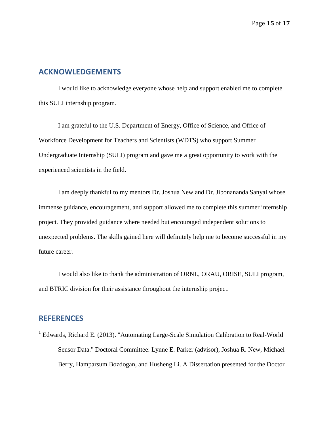## **ACKNOWLEDGEMENTS**

I would like to acknowledge everyone whose help and support enabled me to complete this SULI internship program.

I am grateful to the U.S. Department of Energy, Office of Science, and Office of Workforce Development for Teachers and Scientists (WDTS) who support Summer Undergraduate Internship (SULI) program and gave me a great opportunity to work with the experienced scientists in the field.

I am deeply thankful to my mentors Dr. Joshua New and Dr. Jibonananda Sanyal whose immense guidance, encouragement, and support allowed me to complete this summer internship project. They provided guidance where needed but encouraged independent solutions to unexpected problems. The skills gained here will definitely help me to become successful in my future career.

I would also like to thank the administration of ORNL, ORAU, ORISE, SULI program, and BTRIC division for their assistance throughout the internship project.

### **REFERENCES**

<sup>1</sup> Edwards, Richard E. (2013). "Automating Large-Scale Simulation Calibration to Real-World Sensor Data." Doctoral Committee: Lynne E. Parker (advisor), Joshua R. New, Michael Berry, Hamparsum Bozdogan, and Husheng Li. A Dissertation presented for the Doctor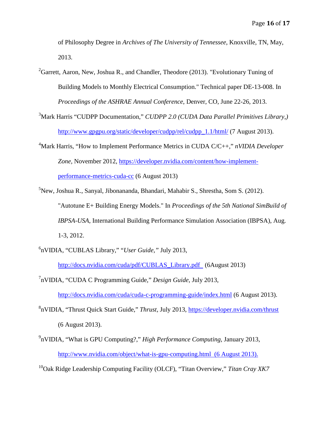of Philosophy Degree in *Archives of The University of Tennessee*, Knoxville, TN, May, 2013.

- ${}^{2}$ Garrett, Aaron, New, Joshua R., and Chandler, Theodore (2013). "Evolutionary Tuning of Building Models to Monthly Electrical Consumption." Technical paper DE-13-008. In *Proceedings of the ASHRAE Annual Conference*, Denver, CO, June 22-26, 2013.
- 3 Mark Harris "CUDPP Documentation," *CUDPP 2.0 (CUDA Data Parallel Primitives Library,)* [http://www.gpgpu.org/static/developer/cudpp/rel/cudpp\\_1.1/html/](http://www.gpgpu.org/static/developer/cudpp/rel/cudpp_1.1/html/) (7 August 2013).
- 4 Mark Harris, "How to Implement Performance Metrics in CUDA C/C++," *nVIDIA Developer Zone,* November 2012, [https://developer.nvidia.com/content/how-implement](https://developer.nvidia.com/content/how-implement-performance-metrics-cuda-cc)[performance-metrics-cuda-cc](https://developer.nvidia.com/content/how-implement-performance-metrics-cuda-cc) (6 August 2013)
- 5 New, Joshua R., Sanyal, Jibonananda, Bhandari, Mahabir S., Shrestha, Som S. (2012). "Autotune E+ Building Energy Models." In *Proceedings of the 5th National SimBuild of IBPSA-USA*, International Building Performance Simulation Association (IBPSA), Aug. 1-3, 2012.
- 6 nVIDIA, "CUBLAS Library," "*User Guide,"* July 2013,

[http://docs.nvidia.com/cuda/pdf/CUBLAS\\_Library.pdf](http://docs.nvidia.com/cuda/pdf/CUBLAS_Library.pdf) (6August 2013)

7 nVIDIA, "CUDA C Programming Guide," *Design Guide*, July 2013,

<http://docs.nvidia.com/cuda/cuda-c-programming-guide/index.html> (6 August 2013).

- 8 nVIDIA, "Thrust Quick Start Guide," *Thrust,* July 2013,<https://developer.nvidia.com/thrust> (6 August 2013).
- 9 nVIDIA, "What is GPU Computing?," *High Performance Computing,* January 2013, <http://www.nvidia.com/object/what-is-gpu-computing.html>(6 August 2013).

10Oak Ridge Leadership Computing Facility (OLCF), "Titan Overview," *Titan Cray XK7*